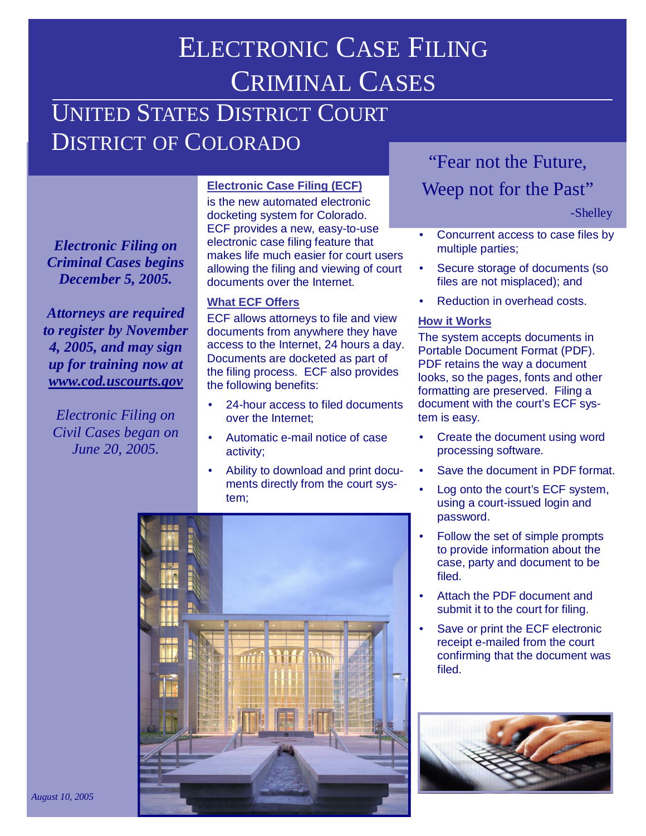# ELECTRONIC CASE FILING CRIMINAL CASES

## UNITED STATES DISTRICT COURT DISTRICT OF COLORADO

*Electronic Filing on Criminal Cases begins December 5, 2005.*

*Attorneys are required to register by November 4, 2005, and may sign up for training now at www.cod.uscourts.gov*

*Electronic Filing on Civil Cases began on June 20, 2005.*

#### **Electronic Case Filing (ECF)**

is the new automated electronic docketing system for Colorado. ECF provides a new, easy-to-use electronic case filing feature that makes life much easier for court users allowing the filing and viewing of court documents over the Internet.

#### **What ECF Offers**

ECF allows attorneys to file and view documents from anywhere they have access to the Internet, 24 hours a day. Documents are docketed as part of the filing process. ECF also provides the following benefits:

- 24-hour access to filed documents over the Internet;
- Automatic e-mail notice of case activity;
- Ability to download and print documents directly from the court system;



### "Fear not the Future,

### Weep not for the Past"

-Shelley

- Concurrent access to case files by multiple parties;
- Secure storage of documents (so files are not misplaced); and
- Reduction in overhead costs.

#### **How it Works**

The system accepts documents in Portable Document Format (PDF). PDF retains the way a document looks, so the pages, fonts and other formatting are preserved. Filing a document with the court's ECF system is easy.

- Create the document using word processing software.
- Save the document in PDF format.
- Log onto the court's ECF system, using a court-issued login and password.
- Follow the set of simple prompts to provide information about the case, party and document to be filed.
- Attach the PDF document and submit it to the court for filing.
- Save or print the ECF electronic receipt e-mailed from the court confirming that the document was filed.